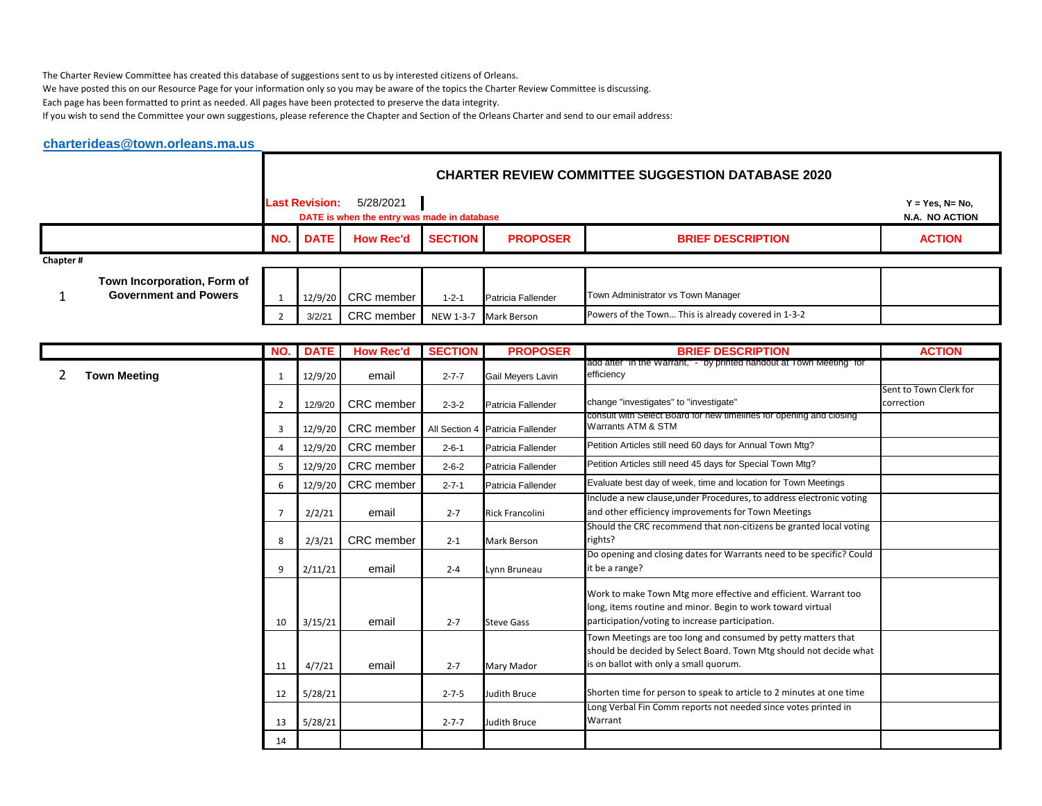The Charter Review Committee has created this database of suggestions sent to us by interested citizens of Orleans.

We have posted this on our Resource Page for your information only so you may be aware of the topics the Charter Review Committee is discussing.

Each page has been formatted to print as needed. All pages have been protected to preserve the data integrity.

If you wish to send the Committee your own suggestions, please reference the Chapter and Section of the Orleans Charter and send to our email address:

|          | charterideas@town.orleans.ma.us                             |     |                       |                                                          |                |                    |                                                     |                                      |
|----------|-------------------------------------------------------------|-----|-----------------------|----------------------------------------------------------|----------------|--------------------|-----------------------------------------------------|--------------------------------------|
|          |                                                             |     |                       |                                                          |                |                    |                                                     |                                      |
|          |                                                             |     | <b>Last Revision:</b> | 5/28/2021<br>DATE is when the entry was made in database |                |                    |                                                     | $Y = Yes, N = No,$<br>N.A. NO ACTION |
|          |                                                             | NO. | <b>DATE</b>           | <b>How Rec'd</b>                                         | <b>SECTION</b> | <b>PROPOSER</b>    | <b>BRIEF DESCRIPTION</b>                            | <b>ACTION</b>                        |
| Chapter# |                                                             |     |                       |                                                          |                |                    |                                                     |                                      |
|          | Town Incorporation, Form of<br><b>Government and Powers</b> |     | 12/9/20               | CRC member                                               | $1 - 2 - 1$    | Patricia Fallender | Town Administrator vs Town Manager                  |                                      |
|          |                                                             |     | 3/2/21                | CRC member                                               | NEW 1-3-7      | <b>Mark Berson</b> | Powers of the Town This is already covered in 1-3-2 |                                      |

|                     |                | <b>NO. DATE</b> | <b>How Rec'd</b>  | <b>SECTION</b> | <b>PROPOSER</b>                  | <b>BRIEF DESCRIPTION</b>                                                                                                                                                          | <b>ACTION</b>                        |
|---------------------|----------------|-----------------|-------------------|----------------|----------------------------------|-----------------------------------------------------------------------------------------------------------------------------------------------------------------------------------|--------------------------------------|
| <b>Town Meeting</b> | 1              | 12/9/20         | email             | $2 - 7 - 7$    | Gail Meyers Lavin                | add after "in the Warrant," - "by printed handout at Town Meeting" for<br>efficiency                                                                                              |                                      |
|                     | $\overline{2}$ | 12/9/20         | <b>CRC</b> member | $2 - 3 - 2$    | Patricia Fallender               | change "investigates" to "investigate"                                                                                                                                            | Sent to Town Clerk for<br>correction |
|                     | 3              | 12/9/20         | <b>CRC</b> member |                | All Section 4 Patricia Fallender | consult with Select Board for new timelines for opening and closing<br>Warrants ATM & STM                                                                                         |                                      |
|                     | $\overline{4}$ | 12/9/20         | CRC member        | $2 - 6 - 1$    | Patricia Fallender               | Petition Articles still need 60 days for Annual Town Mtg?                                                                                                                         |                                      |
|                     | 5              | 12/9/20         | CRC member        | $2 - 6 - 2$    | Patricia Fallender               | Petition Articles still need 45 days for Special Town Mtg?                                                                                                                        |                                      |
|                     | 6              | 12/9/20         | CRC member        | $2 - 7 - 1$    | Patricia Fallender               | Evaluate best day of week, time and location for Town Meetings                                                                                                                    |                                      |
|                     | $\overline{7}$ | 2/2/21          | email             | $2 - 7$        | <b>Rick Francolini</b>           | Include a new clause, under Procedures, to address electronic voting<br>and other efficiency improvements for Town Meetings                                                       |                                      |
|                     | 8              | 2/3/21          | <b>CRC</b> member | $2 - 1$        | <b>Mark Berson</b>               | Should the CRC recommend that non-citizens be granted local voting<br>rights?                                                                                                     |                                      |
|                     | 9              | 2/11/21         | email             | $2 - 4$        | Lynn Bruneau                     | Do opening and closing dates for Warrants need to be specific? Could<br>it be a range?                                                                                            |                                      |
|                     | 10             | 3/15/21         | email             | $2 - 7$        | <b>Steve Gass</b>                | Work to make Town Mtg more effective and efficient. Warrant too<br>long, items routine and minor. Begin to work toward virtual<br>participation/voting to increase participation. |                                      |
|                     | 11             | 4/7/21          | email             | $2 - 7$        | Mary Mador                       | Town Meetings are too long and consumed by petty matters that<br>should be decided by Select Board. Town Mtg should not decide what<br>is on ballot with only a small quorum.     |                                      |
|                     | 12             | 5/28/21         |                   | $2 - 7 - 5$    | Judith Bruce                     | Shorten time for person to speak to article to 2 minutes at one time                                                                                                              |                                      |
|                     | 13             | 5/28/21         |                   | $2 - 7 - 7$    | Judith Bruce                     | Long Verbal Fin Comm reports not needed since votes printed in<br>Warrant                                                                                                         |                                      |
|                     | 14             |                 |                   |                |                                  |                                                                                                                                                                                   |                                      |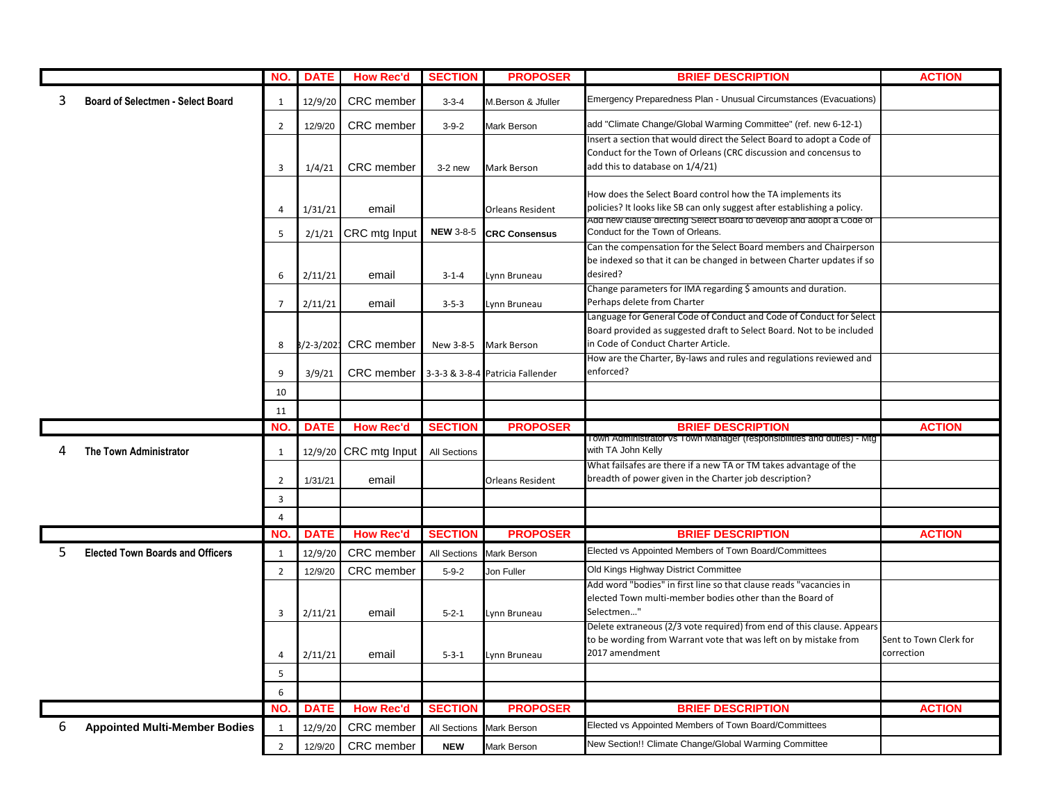|   |                                         | NO. I               | <b>DATE</b>        | <b>How Rec'd</b>         | <b>SECTION</b>                    | <b>PROPOSER</b>                   | <b>BRIEF DESCRIPTION</b>                                                                                                                   | <b>ACTION</b>          |
|---|-----------------------------------------|---------------------|--------------------|--------------------------|-----------------------------------|-----------------------------------|--------------------------------------------------------------------------------------------------------------------------------------------|------------------------|
| 3 | Board of Selectmen - Select Board       | 1                   | 12/9/20            | CRC member               | $3 - 3 - 4$                       | M.Berson & Jfuller                | Emergency Preparedness Plan - Unusual Circumstances (Evacuations)                                                                          |                        |
|   |                                         | $\overline{2}$      | 12/9/20            | CRC member               | $3 - 9 - 2$                       | Mark Berson                       | add "Climate Change/Global Warming Committee" (ref. new 6-12-1)                                                                            |                        |
|   |                                         |                     |                    |                          |                                   |                                   | Insert a section that would direct the Select Board to adopt a Code of                                                                     |                        |
|   |                                         |                     |                    |                          |                                   |                                   | Conduct for the Town of Orleans (CRC discussion and concensus to                                                                           |                        |
|   |                                         | 3                   | 1/4/21             | <b>CRC</b> member        | $3-2$ new                         | Mark Berson                       | add this to database on 1/4/21)                                                                                                            |                        |
|   |                                         |                     |                    |                          |                                   |                                   | How does the Select Board control how the TA implements its                                                                                |                        |
|   |                                         | 4                   | 1/31/21            | email                    |                                   | <b>Orleans Resident</b>           | policies? It looks like SB can only suggest after establishing a policy.                                                                   |                        |
|   |                                         |                     |                    |                          |                                   |                                   | Add new clause directing Select Board to develop and adopt a Code of                                                                       |                        |
|   |                                         | 5                   | 2/1/21             | CRC mtg Input            | <b>NEW 3-8-5</b>                  | <b>CRC Consensus</b>              | Conduct for the Town of Orleans.                                                                                                           |                        |
|   |                                         |                     |                    |                          |                                   |                                   | Can the compensation for the Select Board members and Chairperson                                                                          |                        |
|   |                                         |                     |                    |                          |                                   |                                   | be indexed so that it can be changed in between Charter updates if so<br>desired?                                                          |                        |
|   |                                         | 6                   | 2/11/21            | email                    | $3 - 1 - 4$                       | Lynn Bruneau                      | Change parameters for IMA regarding \$ amounts and duration.                                                                               |                        |
|   |                                         | $\overline{7}$      | 2/11/21            | email                    | $3 - 5 - 3$                       | Lynn Bruneau                      | Perhaps delete from Charter                                                                                                                |                        |
|   |                                         |                     |                    |                          |                                   |                                   | Language for General Code of Conduct and Code of Conduct for Select                                                                        |                        |
|   |                                         |                     |                    |                          |                                   |                                   | Board provided as suggested draft to Select Board. Not to be included                                                                      |                        |
|   |                                         | 8                   | 3/2-3/202          | CRC member               | New 3-8-5                         | Mark Berson                       | in Code of Conduct Charter Article.                                                                                                        |                        |
|   |                                         |                     |                    |                          |                                   |                                   | How are the Charter, By-laws and rules and regulations reviewed and                                                                        |                        |
|   |                                         | 9                   | 3/9/21             | CRC member               |                                   | 3-3-3 & 3-8-4 Patricia Fallender  | enforced?                                                                                                                                  |                        |
|   |                                         | 10                  |                    |                          |                                   |                                   |                                                                                                                                            |                        |
|   |                                         | 11                  |                    |                          |                                   |                                   |                                                                                                                                            |                        |
|   |                                         |                     |                    |                          |                                   |                                   |                                                                                                                                            |                        |
|   |                                         | NO.                 | <b>DATE</b>        | <b>How Rec'd</b>         | <b>SECTION</b>                    | <b>PROPOSER</b>                   | <b>BRIEF DESCRIPTION</b>                                                                                                                   | <b>ACTION</b>          |
| 4 | <b>The Town Administrator</b>           | 1                   | 12/9/20            | CRC mtg Input            | All Sections                      |                                   | I own Administrator vs Town Manager (responsibilities and duties) - Mtg<br>with TA John Kelly                                              |                        |
|   |                                         |                     |                    |                          |                                   |                                   | What failsafes are there if a new TA or TM takes advantage of the                                                                          |                        |
|   |                                         | $\overline{2}$      | 1/31/21            | email                    |                                   | <b>Orleans Resident</b>           | breadth of power given in the Charter job description?                                                                                     |                        |
|   |                                         | $\overline{3}$      |                    |                          |                                   |                                   |                                                                                                                                            |                        |
|   |                                         | $\overline{4}$      |                    |                          |                                   |                                   |                                                                                                                                            |                        |
|   |                                         | NO.                 | <b>DATE</b>        | <b>How Rec'd</b>         | <b>SECTION</b>                    | <b>PROPOSER</b>                   | <b>BRIEF DESCRIPTION</b>                                                                                                                   | <b>ACTION</b>          |
| 5 | <b>Elected Town Boards and Officers</b> | 1                   | 12/9/20            | CRC member               | <b>All Sections</b>               | <b>Mark Berson</b>                | Elected vs Appointed Members of Town Board/Committees                                                                                      |                        |
|   |                                         | $\overline{2}$      | 12/9/20            | <b>CRC</b> member        | $5 - 9 - 2$                       | Jon Fuller                        | Old Kings Highway District Committee                                                                                                       |                        |
|   |                                         |                     |                    |                          |                                   |                                   | Add word "bodies" in first line so that clause reads "vacancies in                                                                         |                        |
|   |                                         |                     |                    |                          |                                   |                                   | elected Town multi-member bodies other than the Board of                                                                                   |                        |
|   |                                         | 3                   | 2/11/21            | email                    | $5 - 2 - 1$                       | Lynn Bruneau                      | Selectmen"                                                                                                                                 |                        |
|   |                                         |                     |                    |                          |                                   |                                   | Delete extraneous (2/3 vote required) from end of this clause. Appears<br>to be wording from Warrant vote that was left on by mistake from | Sent to Town Clerk for |
|   |                                         | $\overline{4}$      | 2/11/21            | email                    | $5 - 3 - 1$                       | Lynn Bruneau                      | 2017 amendment                                                                                                                             | correction             |
|   |                                         | $\sf 5$             |                    |                          |                                   |                                   |                                                                                                                                            |                        |
|   |                                         | $6\phantom{1}$      |                    |                          |                                   |                                   |                                                                                                                                            |                        |
|   |                                         | NO.                 |                    |                          |                                   |                                   |                                                                                                                                            |                        |
|   |                                         |                     | <b>DATE</b>        | <b>How Rec'd</b>         | <b>SECTION</b>                    | <b>PROPOSER</b>                   | <b>BRIEF DESCRIPTION</b><br>Elected vs Appointed Members of Town Board/Committees                                                          | <b>ACTION</b>          |
| 6 | <b>Appointed Multi-Member Bodies</b>    | 1<br>$\overline{2}$ | 12/9/20<br>12/9/20 | CRC member<br>CRC member | <b>All Sections</b><br><b>NEW</b> | Mark Berson<br><b>Mark Berson</b> | New Section!! Climate Change/Global Warming Committee                                                                                      |                        |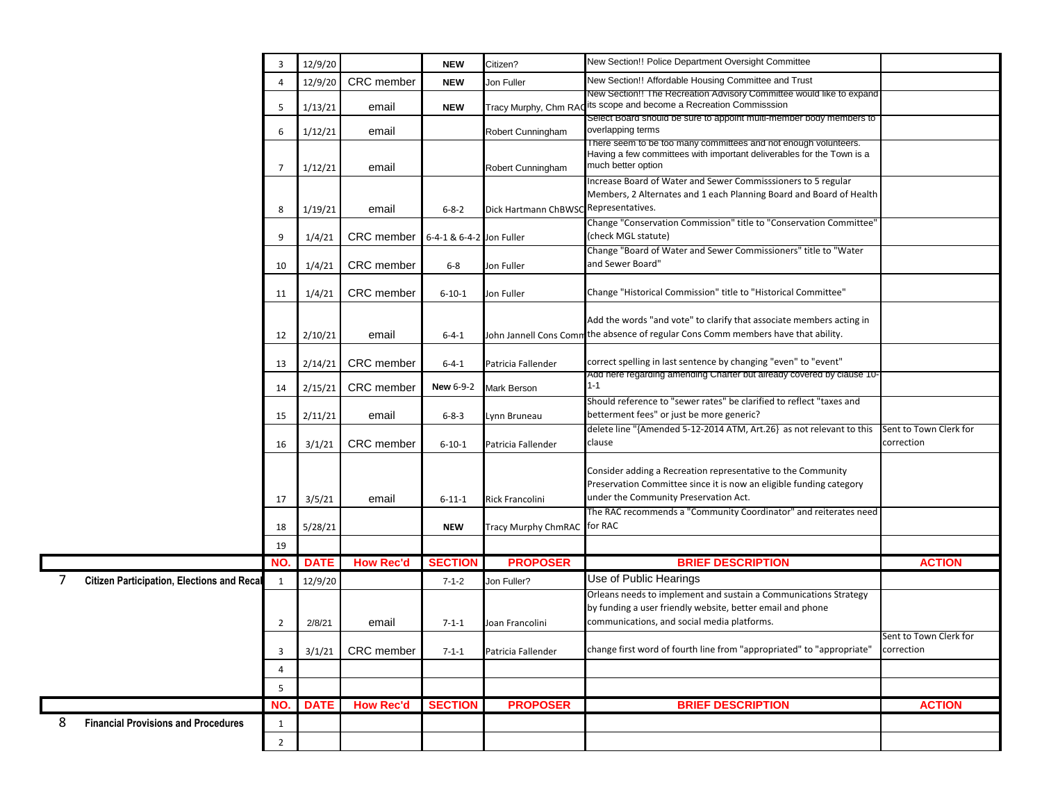|   |                                                   | 3              | 12/9/20     |                     | <b>NEW</b>               | Citizen?                              | New Section!! Police Department Oversight Committee                                                                                                                           |                                      |
|---|---------------------------------------------------|----------------|-------------|---------------------|--------------------------|---------------------------------------|-------------------------------------------------------------------------------------------------------------------------------------------------------------------------------|--------------------------------------|
|   |                                                   | 4              | 12/9/20     | CRC member          | <b>NEW</b>               | Jon Fuller                            | New Section!! Affordable Housing Committee and Trust                                                                                                                          |                                      |
|   |                                                   | 5              | 1/13/21     | email               | <b>NEW</b>               | Tracy Murphy, Chm RAC                 | New Section!! The Recreation Advisory Committee would like to expand<br>its scope and become a Recreation Commisssion                                                         |                                      |
|   |                                                   | 6              | 1/12/21     | email               |                          | Robert Cunningham                     | Select Board should be sure to appoint multi-member body members to<br>overlapping terms                                                                                      |                                      |
|   |                                                   | 7              | 1/12/21     | email               |                          | Robert Cunningham                     | There seem to be too many committees and not enough volunteers.<br>Having a few committees with important deliverables for the Town is a<br>much better option                |                                      |
|   |                                                   | 8              | 1/19/21     | email               | $6 - 8 - 2$              | Dick Hartmann ChBWSC Representatives. | Increase Board of Water and Sewer Commisssioners to 5 regular<br>Members, 2 Alternates and 1 each Planning Board and Board of Health                                          |                                      |
|   |                                                   | 9              | 1/4/21      | CRC member          | 6-4-1 & 6-4-2 Jon Fuller |                                       | Change "Conservation Commission" title to "Conservation Committee'<br>(check MGL statute)                                                                                     |                                      |
|   |                                                   | 10             | 1/4/21      | CRC member          | $6-8$                    | Jon Fuller                            | Change "Board of Water and Sewer Commissioners" title to "Water<br>and Sewer Board"                                                                                           |                                      |
|   |                                                   | 11             | 1/4/21      | CRC member          | $6 - 10 - 1$             | Jon Fuller                            | Change "Historical Commission" title to "Historical Committee"                                                                                                                |                                      |
|   |                                                   | 12             | 2/10/21     | email               | $6 - 4 - 1$              |                                       | Add the words "and vote" to clarify that associate members acting in<br>John Jannell Cons Comm <sup>the</sup> absence of regular Cons Comm members have that ability.         |                                      |
|   |                                                   | 13             | 2/14/21     | CRC member          | $6 - 4 - 1$              | Patricia Fallender                    | correct spelling in last sentence by changing "even" to "event"                                                                                                               |                                      |
|   |                                                   | 14             | 2/15/21     | CRC member          | <b>New 6-9-2</b>         | Mark Berson                           | Add here regarding amending Charter but already covered by clause 10-<br>$1 - 1$                                                                                              |                                      |
|   |                                                   | 15             | 2/11/21     | email               | $6 - 8 - 3$              | Lynn Bruneau                          | Should reference to "sewer rates" be clarified to reflect "taxes and<br>betterment fees" or just be more generic?                                                             |                                      |
|   |                                                   | 16             | 3/1/21      | CRC member          | $6 - 10 - 1$             | Patricia Fallender                    | delete line "{Amended 5-12-2014 ATM, Art.26} as not relevant to this<br>clause                                                                                                | Sent to Town Clerk for<br>correction |
|   |                                                   | 17             | 3/5/21      | email               | $6 - 11 - 1$             | Rick Francolini                       | Consider adding a Recreation representative to the Community<br>Preservation Committee since it is now an eligible funding category<br>under the Community Preservation Act.  |                                      |
|   |                                                   | 18             | 5/28/21     |                     | <b>NEW</b>               | Tracy Murphy ChmRAC for RAC           | The RAC recommends a "Community Coordinator" and reiterates need                                                                                                              |                                      |
|   |                                                   | 19             |             |                     |                          |                                       |                                                                                                                                                                               |                                      |
|   |                                                   | NO.            | <b>DATE</b> | <b>How Rec'd</b>    | <b>SECTION</b>           | <b>PROPOSER</b>                       | <b>BRIEF DESCRIPTION</b>                                                                                                                                                      | <b>ACTION</b>                        |
| 7 | <b>Citizen Participation, Elections and Recal</b> | 1              | 12/9/20     |                     | $7 - 1 - 2$              | Jon Fuller?                           | Use of Public Hearings                                                                                                                                                        |                                      |
|   |                                                   | 2              | 2/8/21      | email               | $7 - 1 - 1$              | Joan Francolini                       | Orleans needs to implement and sustain a Communications Strategy<br>by funding a user friendly website, better email and phone<br>communications, and social media platforms. |                                      |
|   |                                                   | 3              |             | $3/1/21$ CRC member | $7 - 1 - 1$              | Patricia Fallender                    | change first word of fourth line from "appropriated" to "appropriate"                                                                                                         | Sent to Town Clerk for<br>correction |
|   |                                                   | 4              |             |                     |                          |                                       |                                                                                                                                                                               |                                      |
|   |                                                   | 5              |             |                     |                          |                                       |                                                                                                                                                                               |                                      |
|   |                                                   | NO.            | <b>DATE</b> | <b>How Rec'd</b>    | <b>SECTION</b>           | <b>PROPOSER</b>                       | <b>BRIEF DESCRIPTION</b>                                                                                                                                                      | <b>ACTION</b>                        |
| 8 | <b>Financial Provisions and Procedures</b>        | $\mathbf{1}$   |             |                     |                          |                                       |                                                                                                                                                                               |                                      |
|   |                                                   | $\overline{2}$ |             |                     |                          |                                       |                                                                                                                                                                               |                                      |